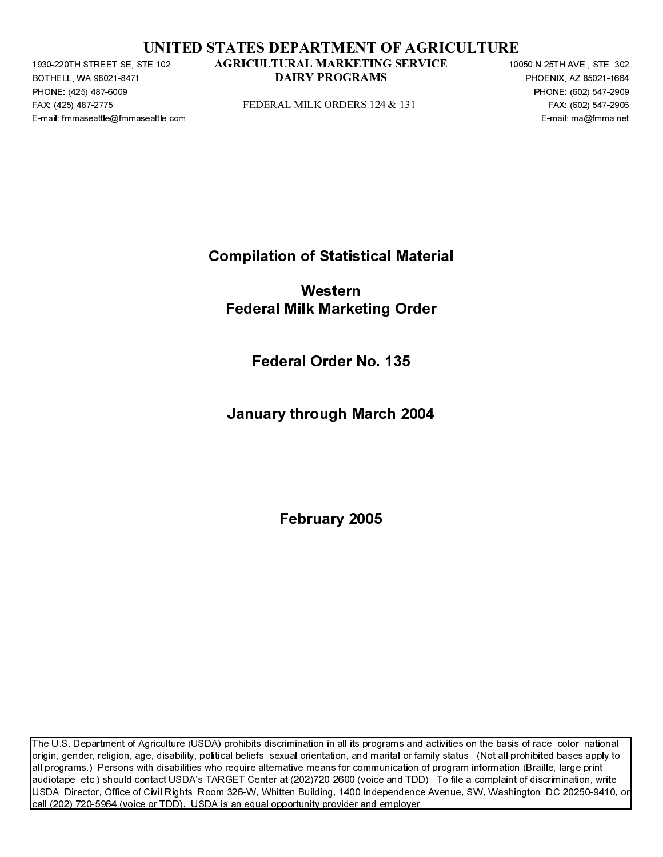|  | UNITED STATES DEPARTMENT OF AGRICULTURE |  |
|--|-----------------------------------------|--|
|  |                                         |  |

BOTHELL, WA 98021-8471<br>BOTHELL, WA 98021-8471<br>PHONE: (425) 487-6009<br>FAX: (425) 487-6009<br>E-mail: fmmaseattle@fmmaseattle.c PHONE: (425) 487-6009<br>FAX: (425) 487-6009<br>FAX: (425) 487-2775<br>E-mail: fmmaseattle@fmma FAX: (425) 487-2271 STATED STATES DEPARTMENT OF AGRICULTURE<br>
FAX: (425) 487-1767-276 FEDERAL MILK ORDERS 124 & 131 FAX: (425) 487-2776<br>
FAX: (425) 47-2776<br>
FAX: (427-2776<br>
FAX: (427-2776)<br>
FAX: (427-2776)<br>
FAX: (427-2776)

Compilation of Statistical Material

PAX: (426) 487-2716<br>
PERSENTENT PROPERTY OF THE COMPLETED FOR THE COMPLETED FOR THE COMPLETED FOR THE COMPLETED FOR DETERMINANCE COMPLETED FOR DETERMINANCE PROPERTY PROPERTY COMPLETED FOR THE PROPERTY OF THE COMPLETED FOR E-mail: fmmaseattle.com Federal Milk Marketing<br>1996 - Federal Milk Marketing Order<br>1997 - Federal Order No.<br>1997 - January through March 2004<br>1997 - February 2005 Western Federal Milk Marketing Order

Federal Order No. 135

January through March 2004

February 2005

**PACK TROGRAMS**<br>
PHONE 2003 ST TED<br>
FIND CONSISTED THE RAME ORDERS 12-4 8 131<br>
PRODUCED TO CONSIST CONSIST TO THE PROPERTY<br> **CONSIST**<br> **PERRICULTURE IN THE MARKETING OPTION**<br> **PERRICULTURE IN THE MARKET OPTION CONSIST**<br> **P** DAIRY ORDERS 124 & 131<br>
PERSENSIS PROGRAMS PROGRAMS<br>
FAX: 8022547-2006<br>
E-ma : maghtens and<br>
DAIRY PROGRAMS PHOTO<br>
E-ma : maghtens and<br>
DAIRY PROGRAMS PHOTO<br>
PEDITURITY 2005<br>
PEDITURITY 2005<br>
PEDITURITY 2005<br>
PEDITURITY 20 The U.S. Department of Agriculture (USDA) prohibits discrimination in all its programs and activities on the basis of race, color, national origin, gender, religion, age, disability, political beliefs, sexual orientation, and marital or family status. (Not all prohibited bases apply to all programs.) Persons with disabilities who require alternative means for communication of program information (Braille, large print, audiotape, etc.) should contact USDA's TARGET Center at (202)720-2600 (voice and TDD). To file a complaint of discrimination, write USDA, Director, Office of Civil Rights, Room 326-W, Whitten Building, 1400 Independence Avenue, SW, Washington, DC 20250-9410, or call (202) 720-5964 (voice or TDD). USDA is an equal opportunity provider and employer. TE-32<br>
AGRICULTRAL MARKETTING SERVICE<br>
DAIRY PROGRAMS<br>
PEDERAL MILK ORDERS 124 & 131<br>
Compilation of Statistical Material<br>
Western<br>
Federal Milk Marketing Order<br>
Federal Order No. 135<br>
January through March 2004<br>
February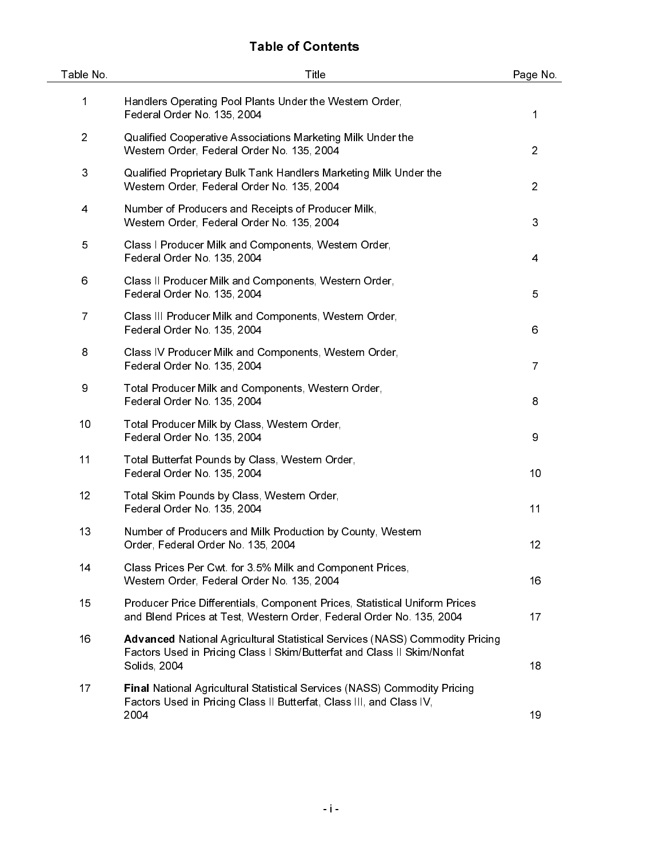# Table of Contents

| Table No.                 | Title                                                                                                                                                                          | Page No.       |
|---------------------------|--------------------------------------------------------------------------------------------------------------------------------------------------------------------------------|----------------|
| 1                         | Handlers Operating Pool Plants Under the Western Order,<br>Federal Order No. 135, 2004                                                                                         | 1              |
| $\overline{2}$            | Qualified Cooperative Associations Marketing Milk Under the<br>Western Order, Federal Order No. 135, 2004                                                                      | $\overline{c}$ |
| $\ensuremath{\mathsf{3}}$ | Qualified Proprietary Bulk Tank Handlers Marketing Milk Under the<br>Western Order, Federal Order No. 135, 2004                                                                | $\overline{2}$ |
| 4                         | Number of Producers and Receipts of Producer Milk,<br>Western Order, Federal Order No. 135, 2004                                                                               | 3              |
| 5                         | Class I Producer Milk and Components, Western Order,<br>Federal Order No. 135, 2004                                                                                            | 4              |
| 6                         | Class II Producer Milk and Components, Western Order,<br>Federal Order No. 135, 2004                                                                                           | 5              |
| $\overline{7}$            | Class III Producer Milk and Components, Western Order,<br>Federal Order No. 135, 2004                                                                                          | 6              |
| 8                         | Class IV Producer Milk and Components, Western Order,<br>Federal Order No. 135, 2004                                                                                           | 7              |
| 9                         | Total Producer Milk and Components, Western Order,<br>Federal Order No. 135, 2004                                                                                              | 8              |
| 10                        | Total Producer Milk by Class, Western Order,<br>Federal Order No. 135, 2004                                                                                                    | 9              |
| 11                        | Total Butterfat Pounds by Class, Western Order,<br>Federal Order No. 135, 2004                                                                                                 | 10             |
| 12                        | Total Skim Pounds by Class, Western Order,<br>Federal Order No. 135, 2004                                                                                                      | 11             |
| 13                        | Number of Producers and Milk Production by County, Western<br>Order, Federal Order No. 135, 2004                                                                               | 12             |
| 14                        | Class Prices Per Cwt for 3.5% Milk and Component Prices,<br>Western Order, Federal Order No. 135, 2004                                                                         | 16             |
| 15                        | Producer Price Differentials, Component Prices, Statistical Uniform Prices<br>and Blend Prices at Test, Western Order, Federal Order No. 135, 2004                             | 17             |
| 16                        | <b>Advanced National Agricultural Statistical Services (NASS) Commodity Pricing</b><br>Factors Used in Pricing Class I Skim/Butterfat and Class II Skim/Nonfat<br>Solids, 2004 | 18             |
| 17                        | Final National Agricultural Statistical Services (NASS) Commodity Pricing<br>Factors Used in Pricing Class II Butterfat, Class III, and Class IV,<br>2004                      | 19             |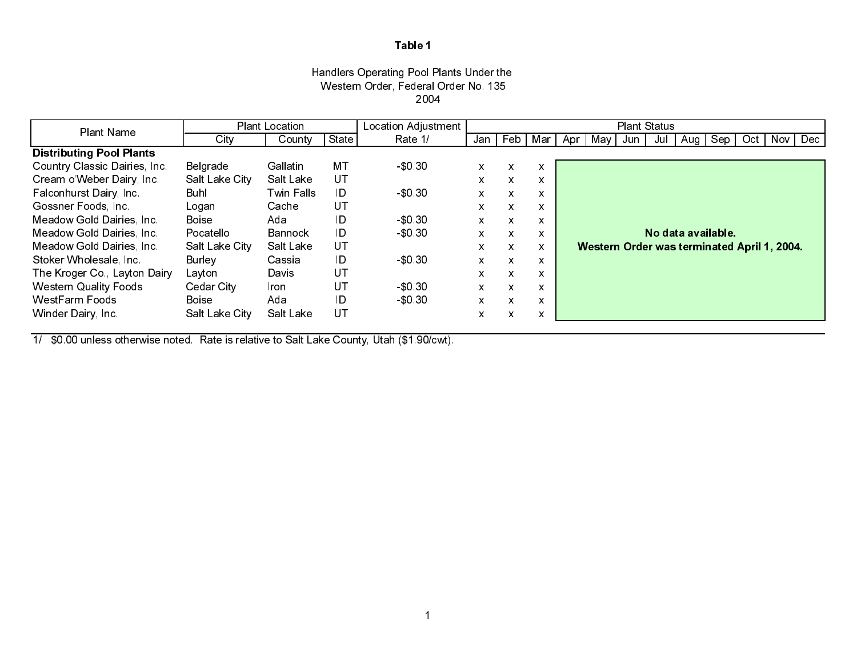## Handlers Operating Pool Plants Under the Western Order, Federal Order No. 135 2004

| Plant Name                      |                | <b>Plant Location</b> |       | Location Adjustment |              |     |                           |     |     | <b>Plant Status</b>                         |     |                    |     |     |           |
|---------------------------------|----------------|-----------------------|-------|---------------------|--------------|-----|---------------------------|-----|-----|---------------------------------------------|-----|--------------------|-----|-----|-----------|
|                                 | City           | County                | State | Rate 1/             | Jan I        | Feb | Mar                       | Apr | Mav | Jun                                         | Jul | Aug I              | Sep | Oct | Nov   Dec |
| <b>Distributing Pool Plants</b> |                |                       |       |                     |              |     |                           |     |     |                                             |     |                    |     |     |           |
| Country Classic Dairies, Inc.   | Belgrade       | Gallatin              | МT    | \$0,30              | X            | X   | $\boldsymbol{\mathsf{x}}$ |     |     |                                             |     |                    |     |     |           |
| Cream o'Weber Dairy, Inc.       | Salt Lake City | Salt Lake             | UT    |                     | x            | X   | X                         |     |     |                                             |     |                    |     |     |           |
| Falconhurst Dairy, Inc.         | Buhl           | Twin Falls            | ID    | $-$ \$0.30          | X            | X   | X                         |     |     |                                             |     |                    |     |     |           |
| Gossner Foods, Inc.             | Logan          | Cache                 | UT    |                     | X            | X   | $\mathsf{x}$              |     |     |                                             |     |                    |     |     |           |
| Meadow Gold Dairies, Inc.       | <b>Boise</b>   | Ada                   | ID    | $-$ \$0.30          | X            | X   | $\mathsf{x}$              |     |     |                                             |     |                    |     |     |           |
| Meadow Gold Dairies, Inc.       | Pocatello      | Bannock               | ID    | \$0,30              | x            | X   | X                         |     |     |                                             |     | No data available. |     |     |           |
| Meadow Gold Dairies, Inc.       | Salt Lake City | Salt Lake             | UT    |                     | $\mathsf{x}$ | X   | X                         |     |     | Western Order was terminated April 1, 2004. |     |                    |     |     |           |
| Stoker Wholesale, Inc.          | Burley         | Cassia                | ID    | $-$ \$0 30          | X            | X   | X                         |     |     |                                             |     |                    |     |     |           |
| The Kroger Co., Layton Dairy    | Layton         | Davis                 | UT    |                     | X            | X   | $\mathsf{x}$              |     |     |                                             |     |                    |     |     |           |
| <b>Western Quality Foods</b>    | Cedar City     | Iron.                 | UT    | \$0,30              | X            | X   | X                         |     |     |                                             |     |                    |     |     |           |
| <b>WestFarm Foods</b>           | <b>Boise</b>   | Ada                   | ID    | \$0,30              | x            | X   | X                         |     |     |                                             |     |                    |     |     |           |
| Winder Dairy, Inc.              | Salt Lake City | Salt Lake             | UT    |                     | x            | X   | X                         |     |     |                                             |     |                    |     |     |           |

1/ \$0.00 unless otherwise noted. Rate is relative to Salt Lake County, Utah (\$1.90/cwt).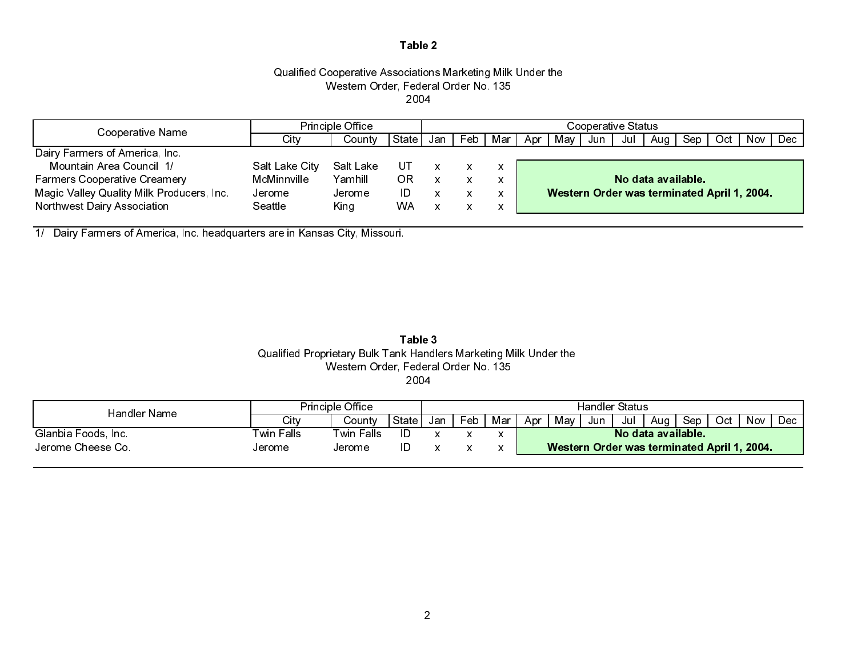## Qualified Cooperative Associations Marketing Milk Under the Western Order, Federal Order No. 135 2004

| Cooperative Name                          | <b>Principle Office</b> |           |       | Cooperative Status |     |     |     |     |     |                    |       |                                             |                 |  |     |
|-------------------------------------------|-------------------------|-----------|-------|--------------------|-----|-----|-----|-----|-----|--------------------|-------|---------------------------------------------|-----------------|--|-----|
|                                           | Citv                    | Countv    | State | Jan                | Feb | Mar | Apr | Mav | Jun | Jul                | Aua I |                                             | Sep   Oct   Nov |  | Dec |
| Dairy Farmers of America, Inc.            |                         |           |       |                    |     |     |     |     |     |                    |       |                                             |                 |  |     |
| Mountain Area Council 1/                  | Salt Lake City          | Salt Lake | UT    |                    | x   |     |     |     |     |                    |       |                                             |                 |  |     |
| <b>Farmers Cooperative Creamery</b>       | McMinnville             | Yamhill   | ΟR    |                    |     |     |     |     |     | No data available. |       |                                             |                 |  |     |
| Magic Valley Quality Milk Producers, Inc. | Jerome                  | Jerome    | ID    |                    |     |     |     |     |     |                    |       | Western Order was terminated April 1, 2004. |                 |  |     |
| Northwest Dairy Association               | Seattle                 | King      | WA.   |                    |     |     |     |     |     |                    |       |                                             |                 |  |     |

1/ Dairy Farmers of America, Inc. headquarters are in Kansas City, Missouri.

#### Table 3 Qualified Proprietary Bulk Tank Handlers Marketing Milk Under the Western Order, Federal Order No. 135 2004

| Handler Name        | <b>Principle Office</b> |            |        | Handler Status |     |     |                                             |     |     |     |       |     |      |     |      |
|---------------------|-------------------------|------------|--------|----------------|-----|-----|---------------------------------------------|-----|-----|-----|-------|-----|------|-----|------|
|                     | Citv                    | Sountv     | State. | Jan            | Feb | Mar | Apr                                         | Mav | Jun | Jul | Aua I | Sep | Octl | Nov | Dec. |
| Glanbia Foods, Inc. | Twin Falls              | Twin Falls | ID     |                |     |     | No data available.                          |     |     |     |       |     |      |     |      |
| Jerome Cheese Co.   | Jerome                  | Jerome     |        |                |     |     | Western Order was terminated April 1, 2004. |     |     |     |       |     |      |     |      |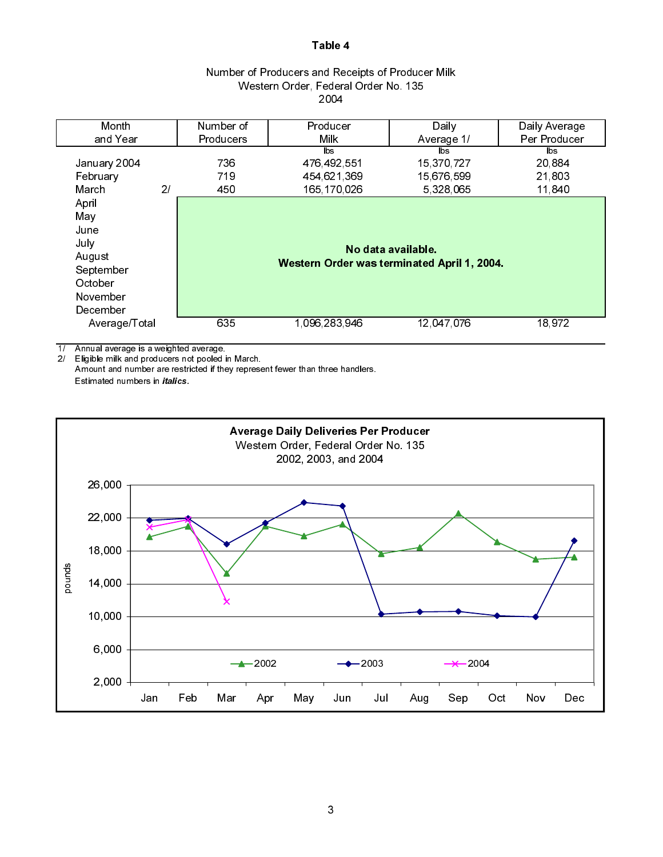| Number of Producers and Receipts of Producer Milk |  |
|---------------------------------------------------|--|
| Western Order, Federal Order No. 135              |  |
| 2004                                              |  |

| Month         |    | Number of        | Producer                                    | Daily              | Daily Average |
|---------------|----|------------------|---------------------------------------------|--------------------|---------------|
| and Year      |    | <b>Producers</b> | Milk                                        | Average 1/         | Per Producer  |
|               |    |                  | lbs.                                        | $\mathsf{ls}$      | lbs.          |
| January 2004  |    | 736              | 476 492 551                                 | 15,370,727         | 20,884        |
| February      |    | 719              | 454 621 369                                 | 15,676,599         | 21,803        |
| March         | 21 | 450              | 165 170 026                                 | 5,328,065          | 11,840        |
| April         |    |                  |                                             |                    |               |
| May           |    |                  |                                             |                    |               |
| June          |    |                  |                                             |                    |               |
| July          |    |                  |                                             | No data available. |               |
| August        |    |                  |                                             |                    |               |
| September     |    |                  | Western Order was terminated April 1, 2004. |                    |               |
| October       |    |                  |                                             |                    |               |
| November      |    |                  |                                             |                    |               |
| December      |    |                  |                                             |                    |               |
| Average/Total |    | 635              | 1 096 283 946                               | 12,047,076         | 18 972        |
|               |    |                  |                                             |                    |               |

1/ Annual average is a weighted average.

2/ Eligible milk and producers not pooled in March.

Amount and number are restricted if they represent fewer than three handlers. Estimated numbers in *italics*.

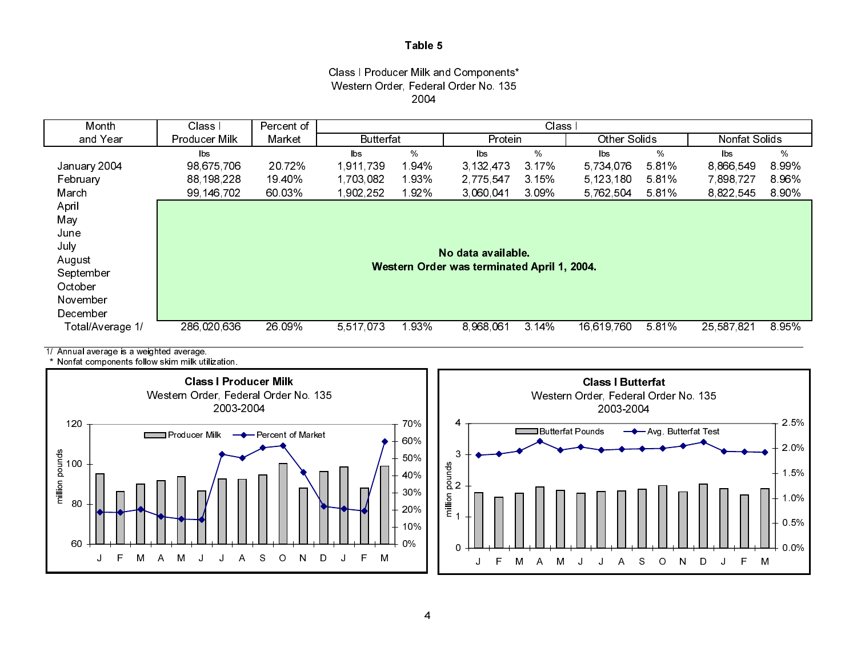#### Class I Producer Milk and Components\* Western Order, Federal Order No. 135 2004



1/ Annual average is a weighted average.

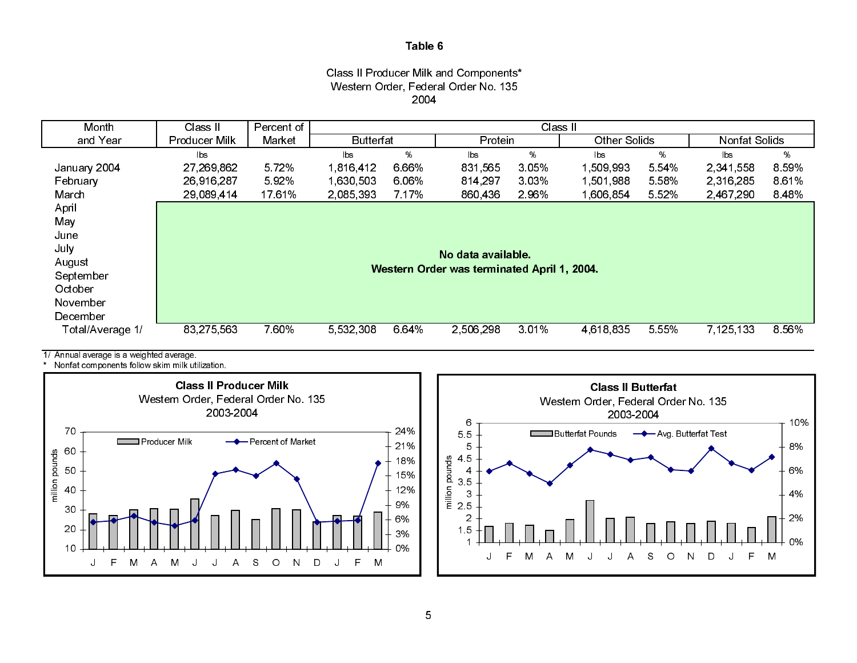#### Class II Producer Milk and Components\* Western Order, Federal Order No. 135 2004



1/ Annual average is a weighted average.



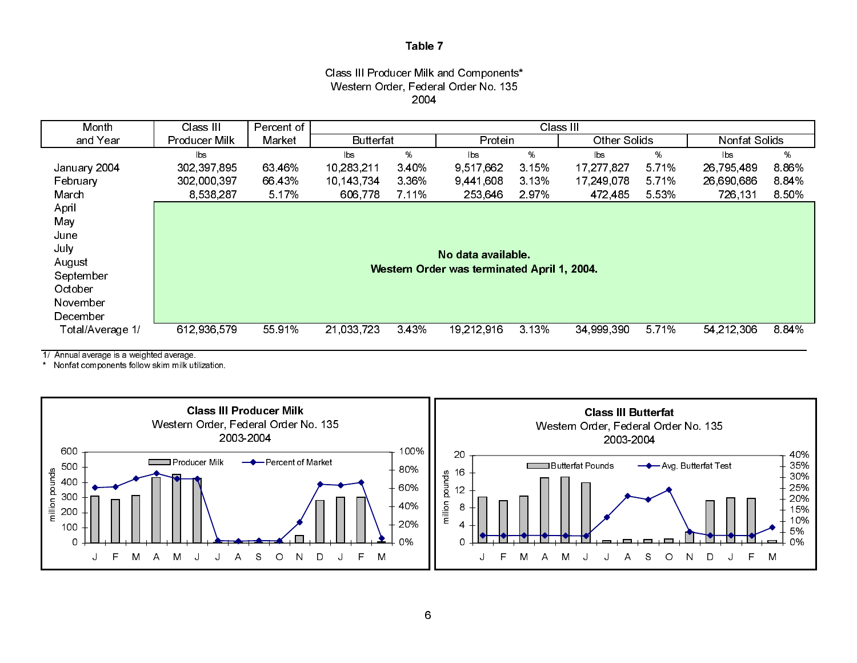#### Class III Producer Milk and Components\* Western Order, Federal Order No. 135 2004

| Month            | Class III     | Percent of |                  |         |                                             | Class III |              |         |               |       |
|------------------|---------------|------------|------------------|---------|---------------------------------------------|-----------|--------------|---------|---------------|-------|
| and Year         | Producer Milk | Market     | <b>Butterfat</b> |         | Protein                                     |           | Other Solids |         | Nonfat Solids |       |
|                  | lbs           |            | lbs.             | %       | lbs                                         | %         | lbs.         | %       | lbs           | %     |
| January 2004     | 302,397,895   | 63 46%     | 10,283,211       | 340%    | 9,517,662                                   | 3.15%     | 17,277,827   | 5 7 1 % | 26,795,489    | 886%  |
| February         | 302,000,397   | 66 43%     | 10 143 734       | 3 3 6 % | 9 441 608                                   | 3 13%     | 17 249 078   | 5 7 1 % | 26,690,686    | 884%  |
| March            | 8,538,287     | 5 17%      | 606,778          | 7 1 1 % | 253,646                                     | 297%      | 472,485      | 5 5 3 % | 726,131       | 8 50% |
| April            |               |            |                  |         |                                             |           |              |         |               |       |
| May              |               |            |                  |         |                                             |           |              |         |               |       |
| June             |               |            |                  |         |                                             |           |              |         |               |       |
| July             |               |            |                  |         | No data available.                          |           |              |         |               |       |
| August           |               |            |                  |         |                                             |           |              |         |               |       |
| September        |               |            |                  |         | Western Order was terminated April 1, 2004. |           |              |         |               |       |
| October          |               |            |                  |         |                                             |           |              |         |               |       |
| November         |               |            |                  |         |                                             |           |              |         |               |       |
| December         |               |            |                  |         |                                             |           |              |         |               |       |
| Total/Average 1/ | 612,936,579   | 55 91%     | 21,033,723       | 343%    | 19,212,916                                  | 3 13%     | 34,999,390   | 5 7 1%  | 54, 212, 306  | 8.84% |
|                  |               |            |                  |         |                                             |           |              |         |               |       |

1/ Annual average is a weighted average.

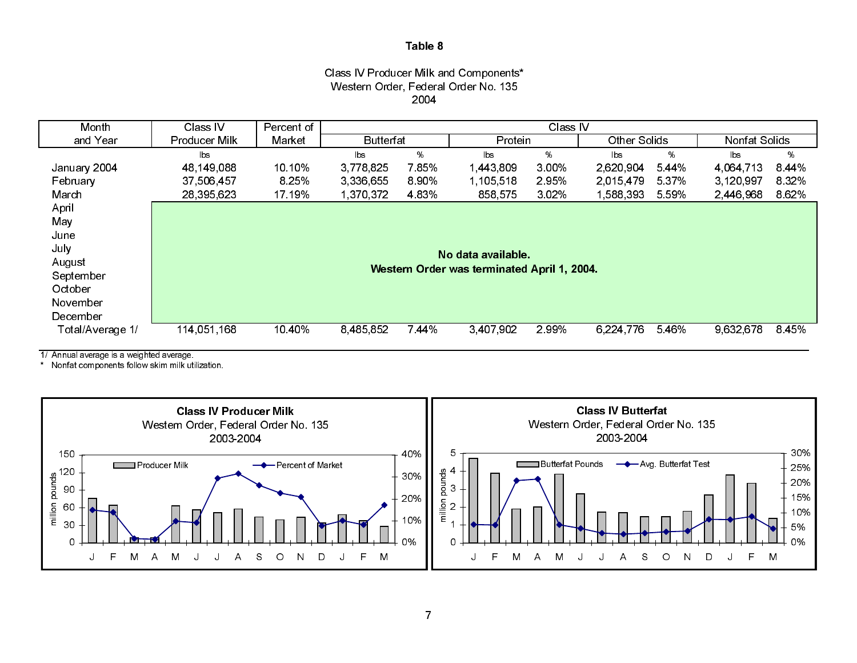#### Class IV Producer Milk and Components\* Western Order, Federal Order No. 135 2004

| Month            | Class IV      | Percent of |                  |         |                                             | Class IV |              |       |               |         |
|------------------|---------------|------------|------------------|---------|---------------------------------------------|----------|--------------|-------|---------------|---------|
| and Year         | Producer Milk | Market     | <b>Butterfat</b> |         | Protein                                     |          | Other Solids |       | Nonfat Solids |         |
|                  | lbs           |            | lbs              | %       | lbs.                                        | %        | lbs.         | %     | <b>bs</b>     | %       |
| January 2004     | 48,149,088    | 10 10%     | 3,778,825        | 785%    | 1,443,809                                   | 3 0 0 %  | 2,620,904    | 5.44% | 4,064,713     | 8.44%   |
| February         | 37,506,457    | 8.25%      | 3,336,655        | 890%    | 1,105,518                                   | 295%     | 2,015,479    | 5 37% | 3,120,997     | 8 3 2%  |
| March            | 28,395,623    | 17 19%     | 1 370 372        | 4 8 3 % | 858,575                                     | 302%     | 1,588,393    | 5.59% | 2,446,968     | 8 6 2%  |
| April            |               |            |                  |         |                                             |          |              |       |               |         |
| May              |               |            |                  |         |                                             |          |              |       |               |         |
| June             |               |            |                  |         |                                             |          |              |       |               |         |
| July             |               |            |                  |         | No data available.                          |          |              |       |               |         |
| August           |               |            |                  |         |                                             |          |              |       |               |         |
| September        |               |            |                  |         | Western Order was terminated April 1, 2004. |          |              |       |               |         |
| October          |               |            |                  |         |                                             |          |              |       |               |         |
| November         |               |            |                  |         |                                             |          |              |       |               |         |
| December         |               |            |                  |         |                                             |          |              |       |               |         |
| Total/Average 1/ | 114 051 168   | 10 40%     | 8,485,852        | 7 44%   | 3,407,902                                   | 299%     | 6,224,776    | 5.46% | 9,632,678     | 8 4 5 % |
|                  |               |            |                  |         |                                             |          |              |       |               |         |

1/ Annual average is a weighted average.

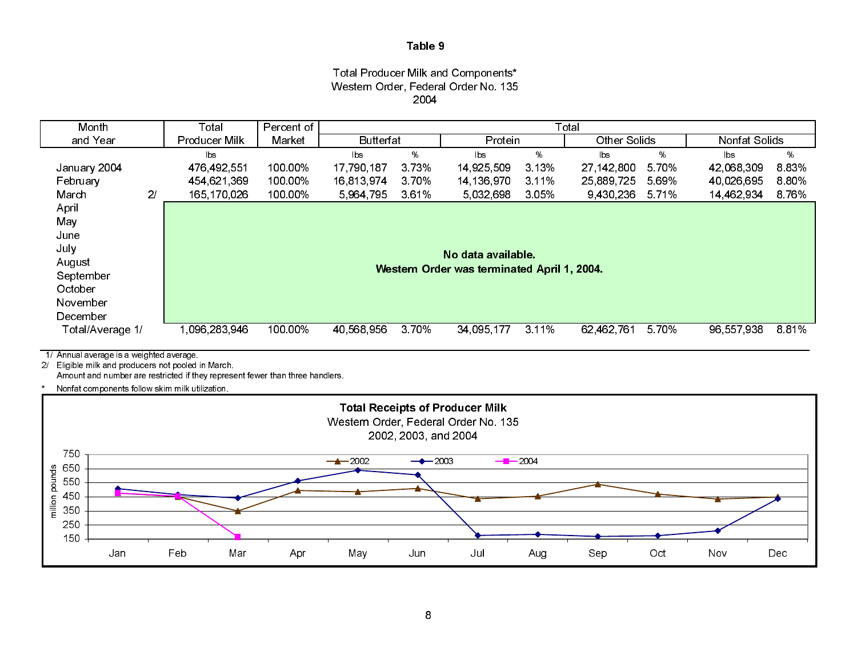## Total Producer Milk and Components\* Western Order, Federal Order No. 135 2004

| Month            |                | Total                  | Percent of |                  |       |                                             |         | Total               |         |               |       |
|------------------|----------------|------------------------|------------|------------------|-------|---------------------------------------------|---------|---------------------|---------|---------------|-------|
| and Year         |                | <b>Producer Milk</b>   | Market     | <b>Butterfat</b> |       | Protein                                     |         | <b>Other Solids</b> |         | Nonfat Solids |       |
|                  |                | $\mathsf{b}\mathsf{s}$ |            | lbs              | %     | lbs                                         | %       | lbs.                | %       | <b>lbs</b>    | %     |
| January 2004     |                | 476,492,551            | 100 00%    | 17,790,187       | 3.73% | 14,925,509                                  | 3 1 3 % | 27, 142, 800        | 5 70%   | 42.068.309    | 8.83% |
| February         |                | 454,621,369            | 100.00%    | 16,813,974       | 370%  | 14,136,970                                  | 3.11%   | 25,889,725          | 5.69%   | 40,026,695    | 8.80% |
| March            | 2 <sub>l</sub> | 165,170,026            | 100 00%    | 5.964,795        | 361%  | 5.032,698                                   | 3 0 5 % | 9,430,236           | 5 7 1 % | 14 462 934    | 8.76% |
| April            |                |                        |            |                  |       |                                             |         |                     |         |               |       |
| May              |                |                        |            |                  |       |                                             |         |                     |         |               |       |
| June             |                |                        |            |                  |       |                                             |         |                     |         |               |       |
| July             |                |                        |            |                  |       |                                             |         |                     |         |               |       |
| August           |                |                        |            |                  |       | No data available.                          |         |                     |         |               |       |
| September        |                |                        |            |                  |       | Western Order was terminated April 1, 2004. |         |                     |         |               |       |
| October          |                |                        |            |                  |       |                                             |         |                     |         |               |       |
| November         |                |                        |            |                  |       |                                             |         |                     |         |               |       |
| December         |                |                        |            |                  |       |                                             |         |                     |         |               |       |
| Total/Average 1/ |                | 1.096.283.946          | 100 00%    | 40 568 956       | 3.70% | 34,095,177                                  | 3.11%   | 62,462,761          | 570%    | 96,557,938    | 8.81% |
|                  |                |                        |            |                  |       |                                             |         |                     |         |               |       |

1/ Annual average is a weighted average. 2/ Eligible milk and producers not pooled in March.

Amount and number are restricted if they represent fewer than three handlers.

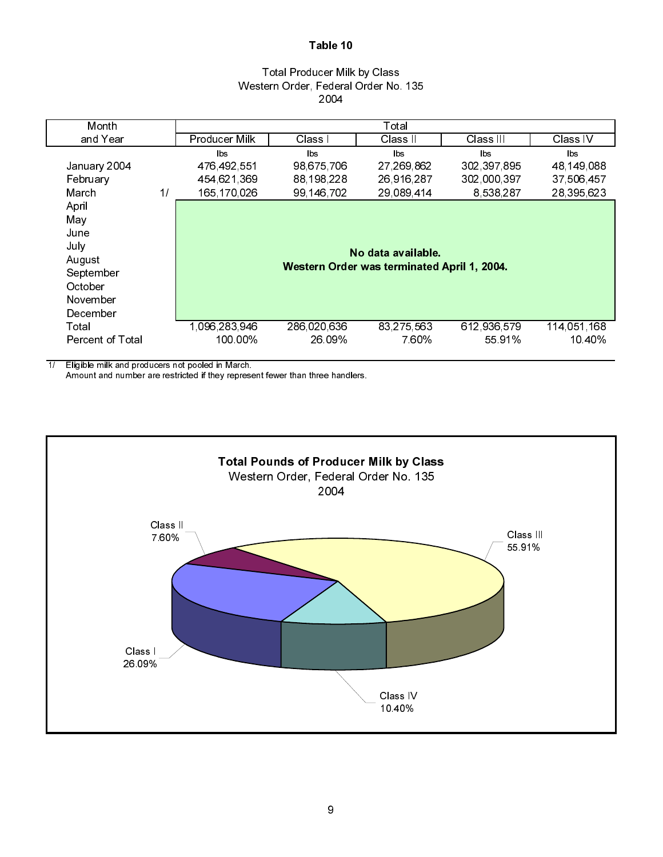## Total Producer Milk by Class Western Order, Federal Order No. 135 2004

|               |              | Total        |                    |                                             |
|---------------|--------------|--------------|--------------------|---------------------------------------------|
| Producer Milk | Class I      | Class II     | Class III          | Class IV                                    |
| lbs           | lbs.         | lbs          | lbs                | lbs.                                        |
| 476 492 551   | 98 675 706   | 27, 269, 862 | 302 397 895        | 48 149 088                                  |
| 454 621 369   | 88, 198, 228 | 26,916,287   | 302,000,397        | 37 506 457                                  |
| 165 170 026   | 99, 146, 702 | 29 089 414   | 8,538,287          | 28,395,623                                  |
|               |              |              |                    |                                             |
|               |              |              |                    |                                             |
|               |              |              |                    |                                             |
|               |              |              |                    |                                             |
|               |              |              |                    |                                             |
|               |              |              |                    |                                             |
|               |              |              |                    |                                             |
|               |              |              |                    |                                             |
|               |              |              |                    |                                             |
| 1 096 283 946 | 286 020 636  | 83, 275, 563 | 612,936,579        | 114,051,168                                 |
| 100 00%       | 26 09%       | 7.60%        | 55 91%             | 10.40%                                      |
|               |              |              | No data available. | Western Order was terminated April 1, 2004. |

1/ Eligible milk and producers not pooled in March.

Amount and number are restricted if they represent fewer than three handlers.

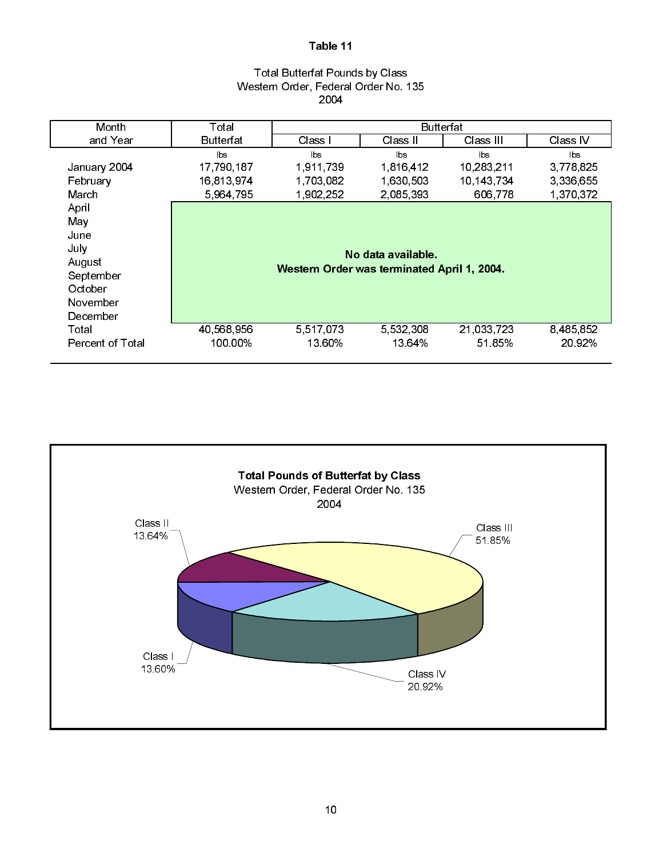### Total Butterfat Pounds by Class Western Order, Federal Order No. 135 2004

| Month            | Total      |                                             | <b>Butterfat</b>   |            |           |
|------------------|------------|---------------------------------------------|--------------------|------------|-----------|
| and Year         | Butterfat  | Class I                                     | Class II           | Class III  | Class IV  |
|                  | lbs        | $\mathsf{lbs}$                              | lbs                | lbs        | bs        |
| January 2004     | 17,790,187 | 1 911 739                                   | 1 816 412          | 10,283,211 | 3,778,825 |
| February         | 16,813,974 | 1,703,082                                   | 1,630,503          | 10,143,734 | 3,336,655 |
| March            | 5,964,795  | 1,902,252                                   | 2,085,393          | 606,778    | 1,370,372 |
| April            |            |                                             |                    |            |           |
| May              |            |                                             |                    |            |           |
| June             |            |                                             |                    |            |           |
| July             |            |                                             |                    |            |           |
| August           |            |                                             | No data available. |            |           |
| September        |            | Western Order was terminated April 1, 2004. |                    |            |           |
| October          |            |                                             |                    |            |           |
| November         |            |                                             |                    |            |           |
| December         |            |                                             |                    |            |           |
| Total            | 40,568,956 | 5,517,073                                   | 5,532,308          | 21.033.723 | 8,485,852 |
| Percent of Total | 100.00%    | 13 60%                                      | 13 64%             | 5185%      | 20.92%    |
|                  |            |                                             |                    |            |           |

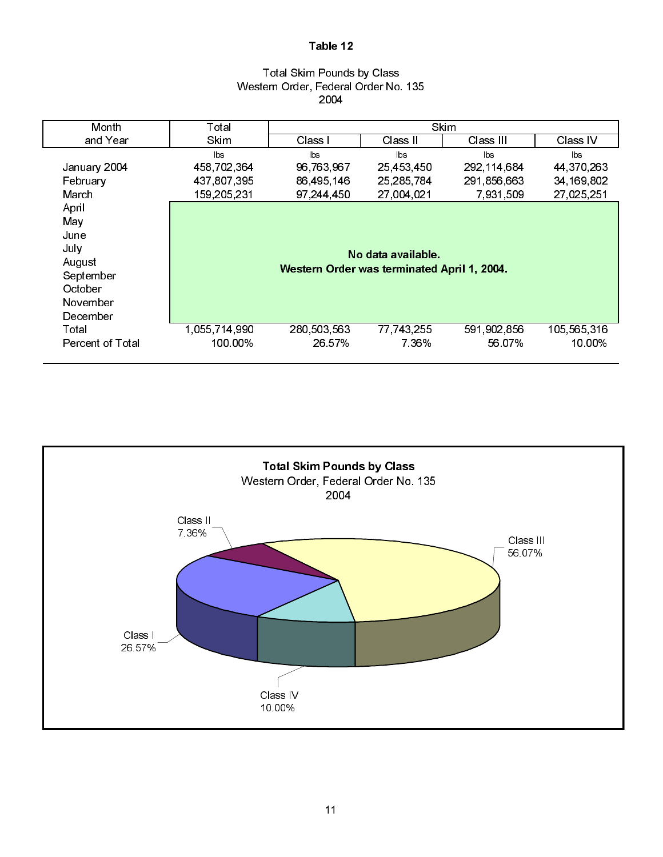## Total Skim Pounds by Class Western Order, Federal Order No. 135 2004

| Month                   | Total         | <b>Skim</b>                                 |                    |                |              |  |  |  |  |  |
|-------------------------|---------------|---------------------------------------------|--------------------|----------------|--------------|--|--|--|--|--|
| and Year                | <b>Skim</b>   | Class I                                     | Class II           | Class III      | Class IV     |  |  |  |  |  |
|                         | lbs           | lbs                                         | lbs                | $\mathsf{lbs}$ | lbs          |  |  |  |  |  |
| January 2004            | 458,702,364   | 96,763,967                                  | 25 453 450         | 292 114 684    | 44 370 263   |  |  |  |  |  |
| February                | 437,807,395   | 86,495,146                                  | 25,285,784         | 291 856 663    | 34, 169, 802 |  |  |  |  |  |
| March                   | 159,205,231   | 97 244 450                                  | 27,004,021         | 7.931.509      | 27,025,251   |  |  |  |  |  |
| April                   |               |                                             |                    |                |              |  |  |  |  |  |
| May                     |               |                                             |                    |                |              |  |  |  |  |  |
| June                    |               |                                             |                    |                |              |  |  |  |  |  |
| July                    |               |                                             | No data available. |                |              |  |  |  |  |  |
| August                  |               |                                             |                    |                |              |  |  |  |  |  |
| September               |               | Western Order was terminated April 1, 2004. |                    |                |              |  |  |  |  |  |
| October                 |               |                                             |                    |                |              |  |  |  |  |  |
| November                |               |                                             |                    |                |              |  |  |  |  |  |
| December                |               |                                             |                    |                |              |  |  |  |  |  |
| Total                   | 1,055,714,990 | 280 503 563                                 | 77,743,255         | 591,902,856    | 105,565,316  |  |  |  |  |  |
| <b>Percent of Total</b> | 100.00%       | 26 57%                                      | 7 36%              | 56.07%         | 10.00%       |  |  |  |  |  |
|                         |               |                                             |                    |                |              |  |  |  |  |  |

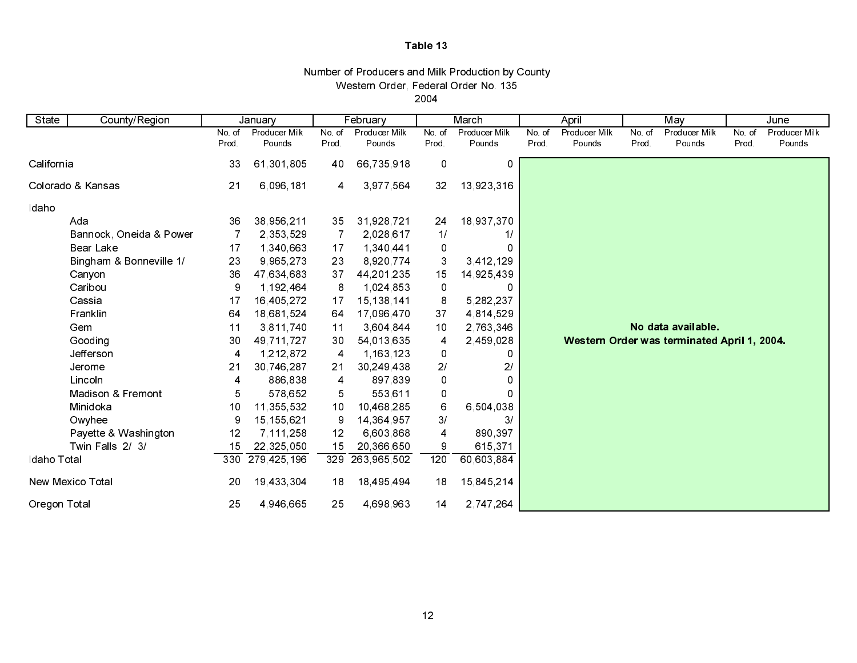| Western Order, Federal Order No. 135              |  |
|---------------------------------------------------|--|
| Number of Producers and Milk Production by County |  |

2004

| State                   | County/Region           |       | January       |        | February      |                | March          |        | April                                       |        | May                  | June   |               |
|-------------------------|-------------------------|-------|---------------|--------|---------------|----------------|----------------|--------|---------------------------------------------|--------|----------------------|--------|---------------|
|                         |                         | No.of | Producer Milk | No. of | Producer Milk | No. of         | Producer Milk  | No. of | Producer Milk                               | No. of | <b>Producer Milk</b> | No. of | Producer Milk |
|                         |                         | Prod. | Pounds        | Prod.  | Pounds        | Prod.          | Pounds         | Prod.  | Pounds                                      | Prod.  | Pounds               | Prod.  | Pounds        |
| California              |                         | 33    | 61,301,805    | 40     | 66,735,918    | $\pmb{0}$      | 0              |        |                                             |        |                      |        |               |
|                         | Colorado & Kansas       | 21    | 6,096,181     | 4      | 3,977,564     | 32             | 13,923,316     |        |                                             |        |                      |        |               |
| Idaho                   |                         |       |               |        |               |                |                |        |                                             |        |                      |        |               |
|                         | Ada                     | 36    | 38,956,211    | 35     | 31,928,721    | 24             | 18,937,370     |        |                                             |        |                      |        |               |
|                         | Bannock, Oneida & Power |       | 2,353,529     | 7      | 2,028,617     | 1/             | 1/             |        |                                             |        |                      |        |               |
|                         | <b>Bear Lake</b>        | 17    | 1,340,663     | 17     | 1,340,441     | 0              |                |        |                                             |        |                      |        |               |
|                         | Bingham & Bonneville 1/ | 23    | 9,965,273     | 23     | 8 9 20 7 7 4  | 3              | 3,412,129      |        |                                             |        |                      |        |               |
|                         | Canyon                  | 36    | 47,634,683    | 37     | 44, 201, 235  | 15             | 14,925,439     |        |                                             |        |                      |        |               |
|                         | Caribou                 | 9     | 1,192,464     | 8      | 1,024,853     | 0              | O              |        |                                             |        |                      |        |               |
|                         | Cassia                  | 17    | 16,405,272    | 17     | 15, 138, 141  | 8              | 5, 282, 237    |        |                                             |        |                      |        |               |
|                         | Franklin                | 64    | 18,681,524    | 64     | 17 096 470    | 37             | 4,814,529      |        |                                             |        |                      |        |               |
|                         | Gem                     | 11    | 3,811,740     | $11$   | 3,604,844     | 10             | 2,763,346      |        |                                             |        | No data available.   |        |               |
|                         | Gooding                 | 30    | 49,711,727    | 30     | 54,013,635    | 4              | 2,459,028      |        | Western Order was terminated April 1, 2004. |        |                      |        |               |
|                         | Jefferson               | 4     | 1,212,872     | 4      | 1,163,123     | 0              |                |        |                                             |        |                      |        |               |
|                         | Jerome                  | 21    | 30,746,287    | 21     | 30, 249, 438  | 21             | 2 <sub>l</sub> |        |                                             |        |                      |        |               |
|                         | Lincoln                 | 4     | 886,838       | 4      | 897,839       | $\pmb{0}$      | 0              |        |                                             |        |                      |        |               |
|                         | Madison & Fremont       | 5     | 578,652       | 5      | 553,611       | 0              | Ω              |        |                                             |        |                      |        |               |
|                         | Minidoka                | 10    | 11,355,532    | 10     | 10,468,285    | 6              | 6,504,038      |        |                                             |        |                      |        |               |
|                         | Owyhee                  | 9     | 15,155,621    | 9      | 14,364,957    | 3/             | 31             |        |                                             |        |                      |        |               |
|                         | Payette & Washington    | 12    | 7,111,258     | 12     | 6,603,868     | $\overline{4}$ | 890,397        |        |                                             |        |                      |        |               |
|                         | Twin Falls 2/ 3/        | 15    | 22,325,050    | 15     | 20,366,650    | 9              | 615,371        |        |                                             |        |                      |        |               |
| Idaho Total             |                         | 330   | 279 425 196   | 329    | 263,965,502   | 120            | 60,603,884     |        |                                             |        |                      |        |               |
| <b>New Mexico Total</b> |                         | 20    | 19,433,304    | 18     | 18,495,494    | 18             | 15,845,214     |        |                                             |        |                      |        |               |
| Oregon Total            |                         | 25    | 4 946 665     | 25     | 4,698,963     | 14             | 2,747,264      |        |                                             |        |                      |        |               |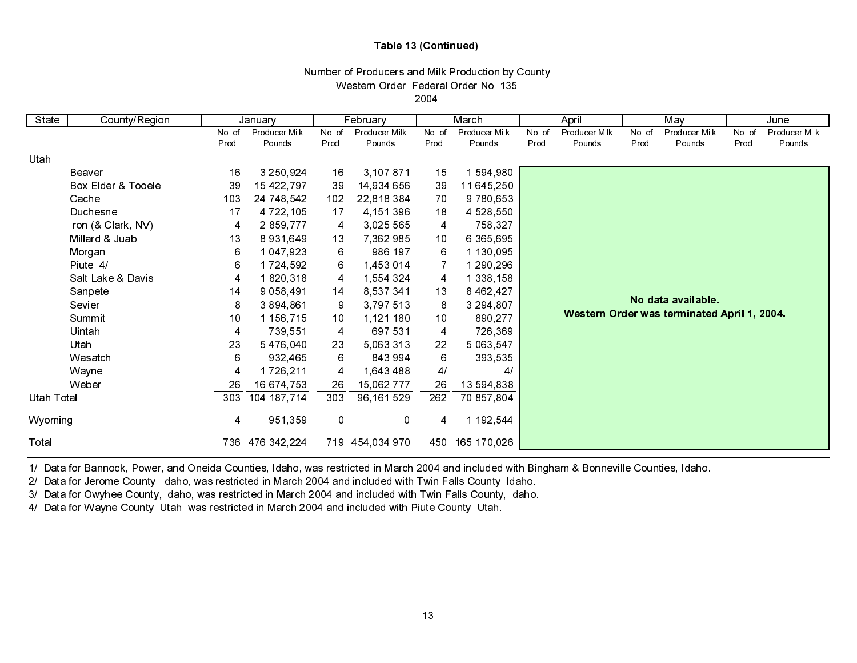## Table 13 (Continued)

#### Western Order, Federal Order No. 135 2004Number of Producers and Milk Production by County

| State      | County/Region      |        | January       |        | February        |                 | March          |       | April         |        | May                                         |       | June          |
|------------|--------------------|--------|---------------|--------|-----------------|-----------------|----------------|-------|---------------|--------|---------------------------------------------|-------|---------------|
|            |                    | No. of | Producer Milk | No. of | Producer Milk   | No. of          | Producer Milk  | No of | Producer Milk | No. of | Producer Milk                               | No of | Producer Milk |
|            |                    | Prod.  | Pounds        | Prod.  | Pounds          | Prod.           | Pounds         | Prod. | Pounds        | Prod.  | Pounds                                      | Prod. | Pounds        |
| Utah       |                    |        |               |        |                 |                 |                |       |               |        |                                             |       |               |
|            | Beaver             | 16     | 3,250,924     | 16     | 3,107,871       | 15              | 1,594,980      |       |               |        |                                             |       |               |
|            | Box Elder & Tooele | 39     | 15,422,797    | 39     | 14,934,656      | 39              | 11,645,250     |       |               |        |                                             |       |               |
|            | Cache              | 103    | 24,748,542    | 102    | 22,818,384      | 70              | 9,780,653      |       |               |        |                                             |       |               |
|            | Duchesne           | 17     | 4 722 105     | 17     | 4, 151, 396     | 18              | 4,528,550      |       |               |        |                                             |       |               |
|            | Iron (& Clark, NV) | 4      | 2,859,777     | 4      | 3,025,565       | $\overline{4}$  | 758,327        |       |               |        |                                             |       |               |
|            | Millard & Juab     | 13     | 8,931,649     | 13     | 7,362,985       | 10              | 6,365,695      |       |               |        |                                             |       |               |
|            | Morgan             | 6      | 1,047,923     | 6      | 986,197         | 6               | 1,130,095      |       |               |        |                                             |       |               |
|            | Piute 4/           | 6      | 1,724,592     | 6      | 1,453,014       |                 | 1,290,296      |       |               |        |                                             |       |               |
|            | Salt Lake & Davis  | 4      | 1,820,318     | 4      | 1,554,324       | 4               | 1,338,158      |       |               |        |                                             |       |               |
|            | Sanpete            | 14     | 9,058,491     | 14     | 8,537,341       | 13              | 8,462,427      |       |               |        |                                             |       |               |
|            | Sevier             | 8      | 3,894,861     | 9      | 3,797,513       | 8               | 3,294,807      |       |               |        | No data available.                          |       |               |
|            | Summit             | 10     | 1,156,715     | 10     | 1,121,180       | 10 <sub>1</sub> | 890,277        |       |               |        | Western Order was terminated April 1, 2004. |       |               |
|            | Uintah             | 4      | 739,551       | 4      | 697,531         | 4               | 726,369        |       |               |        |                                             |       |               |
|            | Utah               | 23     | 5,476,040     | 23     | 5,063,313       | 22              | 5,063,547      |       |               |        |                                             |       |               |
|            | Wasatch            | 6      | 932,465       | 6      | 843,994         | 6               | 393,535        |       |               |        |                                             |       |               |
|            | Wayne              | 4      | 1,726,211     | 4      | 1,643,488       | 4/              | $\overline{4}$ |       |               |        |                                             |       |               |
|            | Weber              | 26     | 16,674,753    | 26     | 15,062,777      | 26              | 13,594,838     |       |               |        |                                             |       |               |
| Utah Total |                    | 303    | 104, 187, 714 | 303    | 96, 161, 529    | 262             | 70,857,804     |       |               |        |                                             |       |               |
| Wyoming    |                    | 4      | 951,359       | 0      | 0               | 4               | 1,192,544      |       |               |        |                                             |       |               |
| Total      |                    | 736.   | 476,342,224   |        | 719 454,034,970 | 450             | 165,170,026    |       |               |        |                                             |       |               |

1/ Data for Bannock, Power, and Oneida Counties, Idaho, was restricted in March 2004 and included with Bingham & Bonneville Counties, Idaho.

2/ Data for Jerome County, Idaho, was restricted in March 2004 and included with Twin Falls County, Idaho.

3/ Data for Owyhee County, Idaho, was restricted in March 2004 and included with Twin Falls County, Idaho.

4/ Data for Wayne County, Utah, was restricted in March 2004 and included with Piute County, Utah.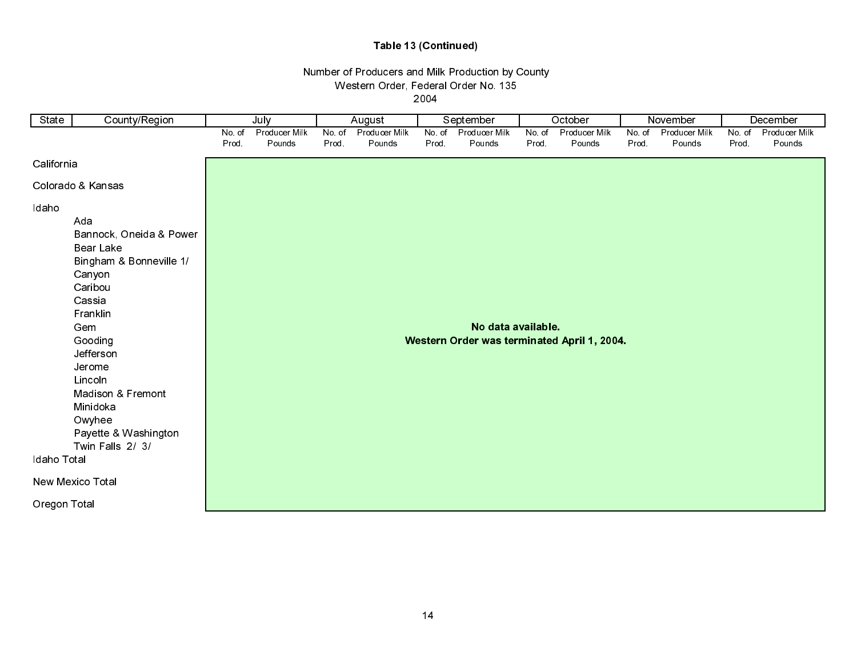## Table 13 (Continued)

## Number of Producers and Milk Production by County Western Order, Federal Order No. 135

2004

| State                | County/Region                                                                                                                                                                                                                                                       | July            |                         | August          |                         |                 | September               | October        |                                             | November        |                         | December       |                         |
|----------------------|---------------------------------------------------------------------------------------------------------------------------------------------------------------------------------------------------------------------------------------------------------------------|-----------------|-------------------------|-----------------|-------------------------|-----------------|-------------------------|----------------|---------------------------------------------|-----------------|-------------------------|----------------|-------------------------|
|                      |                                                                                                                                                                                                                                                                     | No. of<br>Prod. | Producer Milk<br>Pounds | No. of<br>Prod. | Producer Milk<br>Pounds | No. of<br>Prod. | Producer Milk<br>Pounds | No of<br>Prod. | Producer Milk<br>Pounds                     | No. of<br>Prod. | Producer Milk<br>Pounds | No.of<br>Prod. | Producer Milk<br>Pounds |
| California           |                                                                                                                                                                                                                                                                     |                 |                         |                 |                         |                 |                         |                |                                             |                 |                         |                |                         |
|                      |                                                                                                                                                                                                                                                                     |                 |                         |                 |                         |                 |                         |                |                                             |                 |                         |                |                         |
|                      | Colorado & Kansas                                                                                                                                                                                                                                                   |                 |                         |                 |                         |                 |                         |                |                                             |                 |                         |                |                         |
| Idaho<br>Idaho Total | Ada<br>Bannock, Oneida & Power<br><b>Bear Lake</b><br>Bingham & Bonneville 1/<br>Canyon<br>Caribou<br>Cassia<br>Franklin<br>Gem<br>Gooding<br>Jefferson<br>Jerome<br>Lincoln<br>Madison & Fremont<br>Minidoka<br>Owyhee<br>Payette & Washington<br>Twin Falls 2/ 3/ |                 |                         |                 |                         |                 | No data available.      |                | Western Order was terminated April 1, 2004. |                 |                         |                |                         |
|                      | New Mexico Total                                                                                                                                                                                                                                                    |                 |                         |                 |                         |                 |                         |                |                                             |                 |                         |                |                         |
| Oregon Total         |                                                                                                                                                                                                                                                                     |                 |                         |                 |                         |                 |                         |                |                                             |                 |                         |                |                         |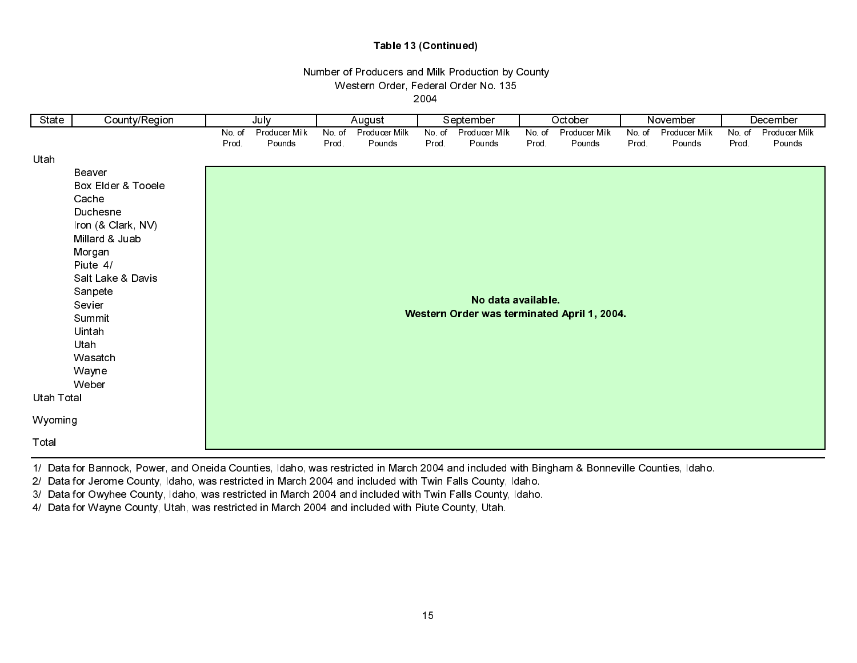## Table 13 (Continued)

# Western Order, Federal Order No. 135 Number of Producers and Milk Production by County

2004

| State      | County/Region                        | July   |               |        | August        |        | September          |       | October                                     |        | November      |        | December      |
|------------|--------------------------------------|--------|---------------|--------|---------------|--------|--------------------|-------|---------------------------------------------|--------|---------------|--------|---------------|
|            |                                      | No. of | Producer Milk | No. of | Producer Milk | No. of | Producer Milk      | No of | Producer Milk                               | No. of | Producer Milk | No. of | Producer Milk |
|            |                                      | Prod.  | Pounds        | Prod.  | Pounds        | Prod.  | Pounds             | Prod. | Pounds                                      | Prod.  | Pounds        | Prod.  | Pounds        |
| Utah       |                                      |        |               |        |               |        |                    |       |                                             |        |               |        |               |
|            | Beaver                               |        |               |        |               |        |                    |       |                                             |        |               |        |               |
|            | Box Elder & Tooele                   |        |               |        |               |        |                    |       |                                             |        |               |        |               |
|            | Cache                                |        |               |        |               |        |                    |       |                                             |        |               |        |               |
|            | Duchesne                             |        |               |        |               |        |                    |       |                                             |        |               |        |               |
|            | Iron (& Clark, NV)<br>Millard & Juab |        |               |        |               |        |                    |       |                                             |        |               |        |               |
|            | Morgan                               |        |               |        |               |        |                    |       |                                             |        |               |        |               |
|            | Piute 4/                             |        |               |        |               |        |                    |       |                                             |        |               |        |               |
|            | Salt Lake & Davis                    |        |               |        |               |        |                    |       |                                             |        |               |        |               |
|            | Sanpete                              |        |               |        |               |        |                    |       |                                             |        |               |        |               |
|            | Sevier                               |        |               |        |               |        | No data available. |       |                                             |        |               |        |               |
|            | Summit                               |        |               |        |               |        |                    |       | Western Order was terminated April 1, 2004. |        |               |        |               |
|            | Uintah                               |        |               |        |               |        |                    |       |                                             |        |               |        |               |
|            | Utah                                 |        |               |        |               |        |                    |       |                                             |        |               |        |               |
|            | Wasatch                              |        |               |        |               |        |                    |       |                                             |        |               |        |               |
|            | Wayne                                |        |               |        |               |        |                    |       |                                             |        |               |        |               |
|            | Weber                                |        |               |        |               |        |                    |       |                                             |        |               |        |               |
| Utah Total |                                      |        |               |        |               |        |                    |       |                                             |        |               |        |               |
| Wyoming    |                                      |        |               |        |               |        |                    |       |                                             |        |               |        |               |
| Total      |                                      |        |               |        |               |        |                    |       |                                             |        |               |        |               |

1/ Data for Bannock, Power, and Oneida Counties, Idaho, was restricted in March 2004 and included with Bingham & Bonneville Counties, Idaho.

2/ Data for Jerome County, Idaho, was restricted in March 2004 and included with Twin Falls County, Idaho.

3/ Data for Owyhee County, Idaho, was restricted in March 2004 and included with Twin Falls County, Idaho.

4/ Data for Wayne County, Utah, was restricted in March 2004 and included with Piute County, Utah.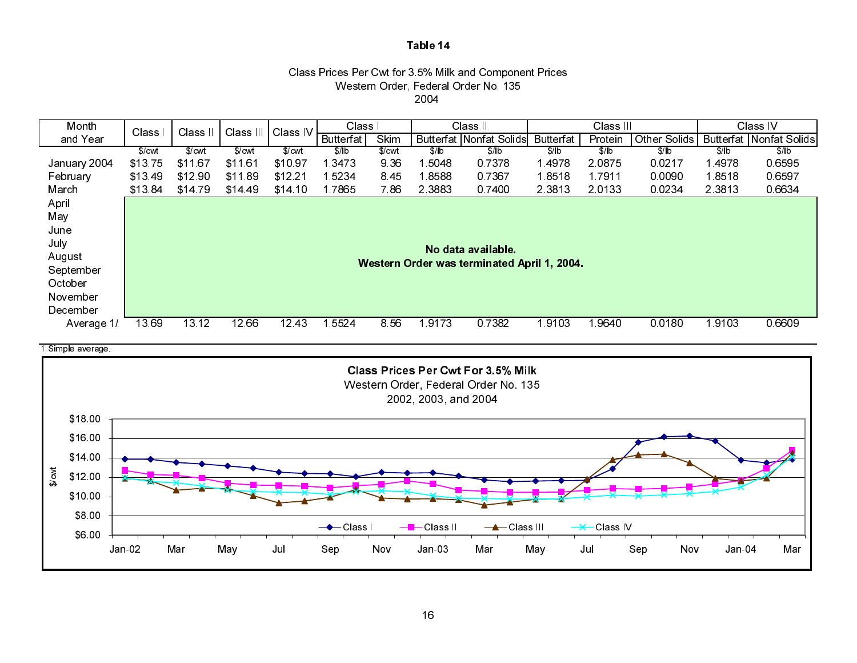#### Class Prices Per Cwt for 3.5% Milk and Component Prices Western Order, Federal Order No. 135 2004



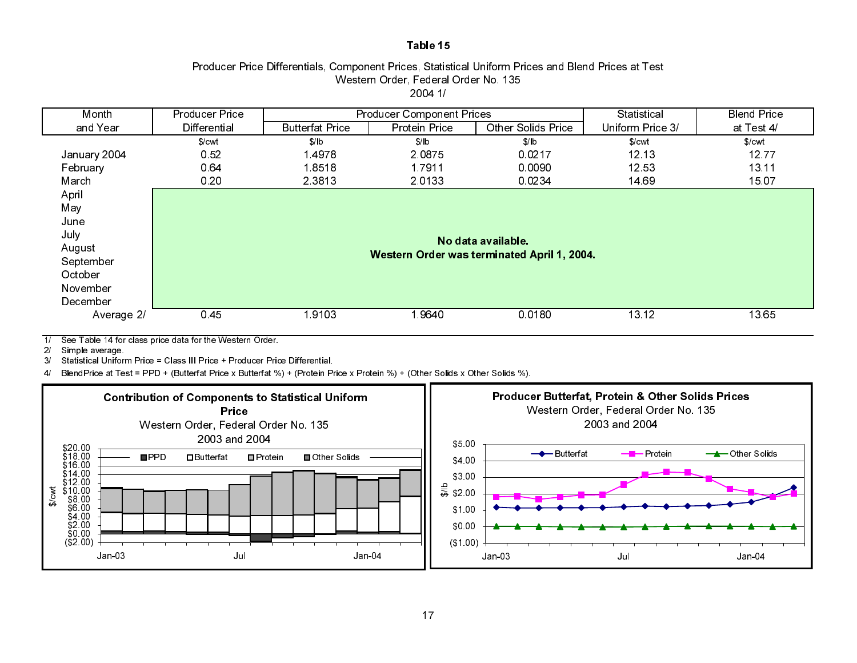## Producer Price Differentials, Component Prices, Statistical Uniform Prices and Blend Prices at Test Western Order, Federal Order No. 135 2004 1/

| Month        | <b>Producer Price</b> |                        | <b>Producer Component Prices</b> | Statistical                                 | <b>Blend Price</b> |            |
|--------------|-----------------------|------------------------|----------------------------------|---------------------------------------------|--------------------|------------|
| and Year     | Differential          | <b>Butterfat Price</b> | <b>Protein Price</b>             | <b>Other Solids Price</b>                   | Uniform Price 3/   | at Test 4/ |
|              | \$/cwt                | \$/lb                  | \$/lb                            | \$/ b                                       | \$/cwt             | \$/cut     |
| January 2004 | 0.52                  | 14978                  | 2.0875                           | 0.0217                                      | 12 13              | 1277       |
| February     | 0.64                  | 18518                  | 1.7911                           | 0.0090                                      | 12 53              | 13 11      |
| March        | 0.20                  | 2 3 8 1 3              | 2.0133                           | 0.0234                                      | 14 69              | 15 07      |
| April        |                       |                        |                                  |                                             |                    |            |
| May          |                       |                        |                                  |                                             |                    |            |
| June         |                       |                        |                                  |                                             |                    |            |
| July         |                       |                        |                                  |                                             |                    |            |
| August       |                       |                        |                                  | No data available.                          |                    |            |
| September    |                       |                        |                                  | Western Order was terminated April 1, 2004. |                    |            |
| October      |                       |                        |                                  |                                             |                    |            |
| November     |                       |                        |                                  |                                             |                    |            |
| December     |                       |                        |                                  |                                             |                    |            |
| Average 2/   | 045                   | 19103                  | 19640                            | 0.0180                                      | 13 12              | 1365       |

1/ See Table 14 for class price data for the Western Order.

2/ Simple average.

3/ Statistical Uniform Price = Class III Price + Producer Price Differential.

4/ BlendPrice at Test = PPD + (Butterfat Price x Butterfat %) + (Protein Price x Protein %) + (Other Solids x Other Solids %).



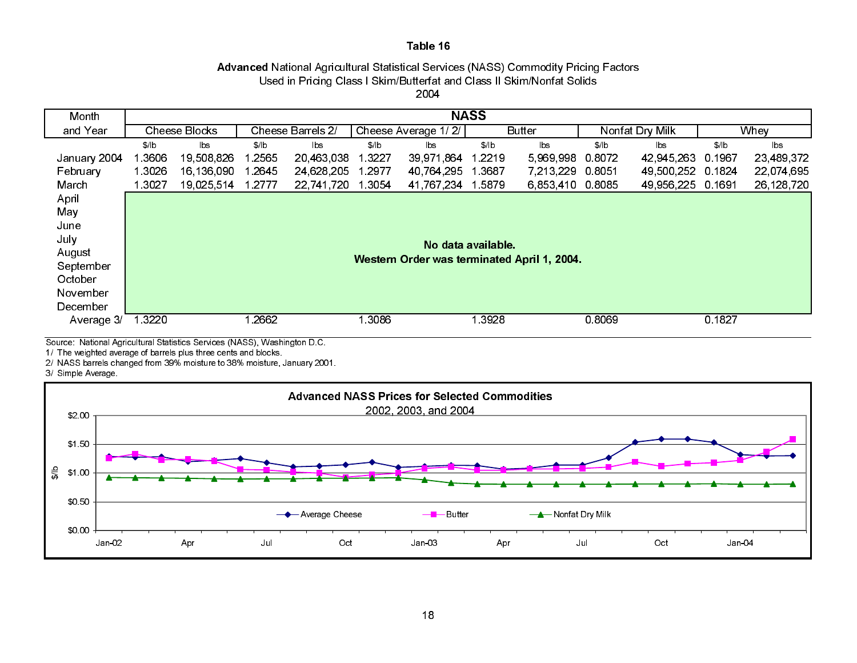# Advanced National Agricultural Statistical Services (NASS) Commodity Pricing Factors Used in Pricing Class I Skim/Butterfat and Class II Skim/Nonfat Solids

2004

| Month        |                                    |            |        |                |        |                                             | <b>NASS</b>        |                        |        |                 |        |            |
|--------------|------------------------------------|------------|--------|----------------|--------|---------------------------------------------|--------------------|------------------------|--------|-----------------|--------|------------|
| and Year     | Cheese Barrels 2/<br>Cheese Blocks |            |        |                |        | Cheese Average 1/2/                         |                    | <b>Butter</b>          |        | Nonfat Dry Milk | Whey   |            |
|              | \$/lb                              | lbs        | \$/ b  | $\mathsf{lbs}$ | \$/ b  | $\mathsf{b}\mathsf{s}$                      | \$/ b              | $\mathsf{b}\mathsf{s}$ | \$/b   | lbs.            | \$/ b  | lbs        |
| January 2004 | 1 3606                             | 19,508,826 | 2565   | 20 463 038     | 1 3227 | 39,971,864                                  | 1 2 2 1 9          | 5,969,998              | 0.8072 | 42 945 263      | 0.1967 | 23,489,372 |
| February     | 1 30 26                            | 16 136 090 | l 2645 | 24,628,205     | 1 2977 | 40,764,295                                  | 1 3 6 8 7          | 7,213,229              | 0.8051 | 49,500,252      | 0.1824 | 22,074,695 |
| March        | 1 3027                             | 19,025,514 | 1 2777 | 22,741,720     | 1 3054 | 41 767 234 1 5879                           |                    | 6,853,410              | 0.8085 | 49 956 225      | 0.1691 | 26,128,720 |
| April        |                                    |            |        |                |        |                                             |                    |                        |        |                 |        |            |
| May          |                                    |            |        |                |        |                                             |                    |                        |        |                 |        |            |
| June         |                                    |            |        |                |        |                                             |                    |                        |        |                 |        |            |
| July         |                                    |            |        |                |        |                                             | No data available. |                        |        |                 |        |            |
| August       |                                    |            |        |                |        | Western Order was terminated April 1, 2004. |                    |                        |        |                 |        |            |
| September    |                                    |            |        |                |        |                                             |                    |                        |        |                 |        |            |
| October      |                                    |            |        |                |        |                                             |                    |                        |        |                 |        |            |
| November     |                                    |            |        |                |        |                                             |                    |                        |        |                 |        |            |
| December     |                                    |            |        |                |        |                                             |                    |                        |        |                 |        |            |
| Average 3/   | 1 3 2 2 0                          |            | 2662   |                | 3086   |                                             | 1 3 9 2 8          |                        | 0.8069 |                 | 0 1827 |            |
|              |                                    |            |        |                |        |                                             |                    |                        |        |                 |        |            |

Source: National Agricultural Statistics Services (NASS), Washington D.C.

1/ The weighted average of barrels plus three cents and blocks.

2/ NASS barrels changed from 39% moisture to 38% moisture, January 2001.

3/ Simple Average.